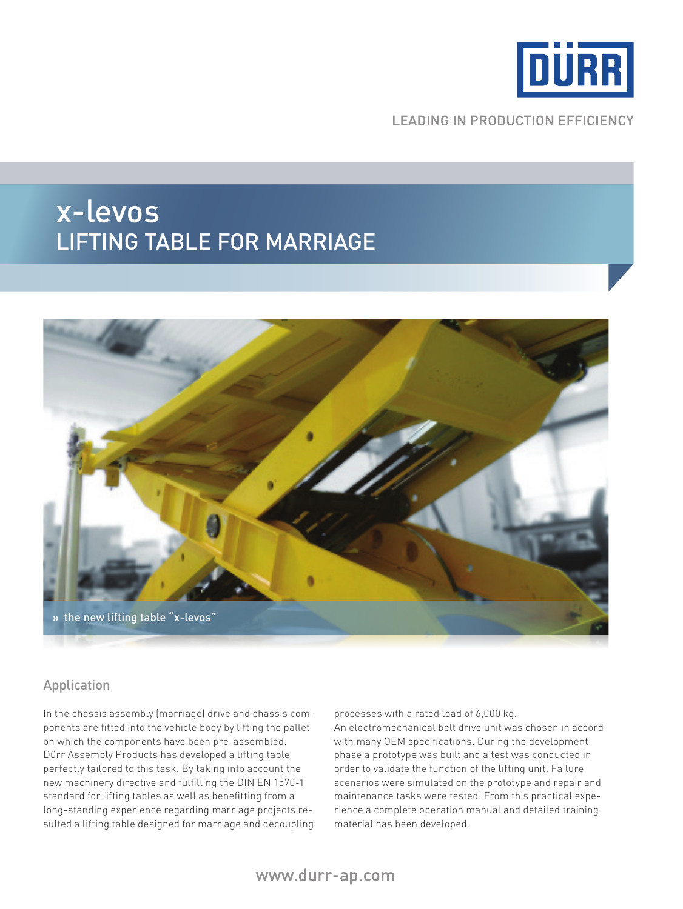

**LEADING IN PRODUCTION EFFICIENCY** 

## x-levos lifting table for marriage



#### Application

In the chassis assembly (marriage) drive and chassis components are fitted into the vehicle body by lifting the pallet on which the components have been pre-assembled. Dürr Assembly Products has developed a lifting table perfectly tailored to this task. By taking into account the new machinery directive and fulfilling the DIN EN 1570-1 standard for lifting tables as well as benefitting from a long-standing experience regarding marriage projects resulted a lifting table designed for marriage and decoupling

processes with a rated load of 6,000 kg.

An electromechanical belt drive unit was chosen in accord with many OEM specifications. During the development phase a prototype was built and a test was conducted in order to validate the function of the lifting unit. Failure scenarios were simulated on the prototype and repair and maintenance tasks were tested. From this practical experience a complete operation manual and detailed training material has been developed.